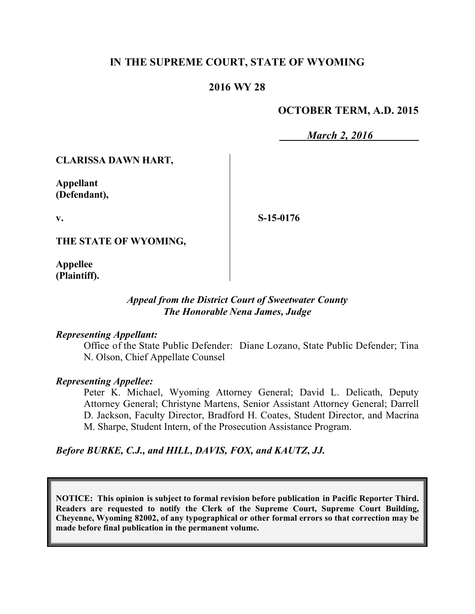# **IN THE SUPREME COURT, STATE OF WYOMING**

## **2016 WY 28**

# **OCTOBER TERM, A.D. 2015**

*March 2, 2016*

**CLARISSA DAWN HART,**

**Appellant (Defendant),**

**v.**

**S-15-0176**

**THE STATE OF WYOMING,**

**Appellee (Plaintiff).**

### *Appeal from the District Court of Sweetwater County The Honorable Nena James, Judge*

#### *Representing Appellant:*

Office of the State Public Defender: Diane Lozano, State Public Defender; Tina N. Olson, Chief Appellate Counsel

#### *Representing Appellee:*

Peter K. Michael, Wyoming Attorney General; David L. Delicath, Deputy Attorney General; Christyne Martens, Senior Assistant Attorney General; Darrell D. Jackson, Faculty Director, Bradford H. Coates, Student Director, and Macrina M. Sharpe, Student Intern, of the Prosecution Assistance Program.

## *Before BURKE, C.J., and HILL, DAVIS, FOX, and KAUTZ, JJ.*

**NOTICE: This opinion is subject to formal revision before publication in Pacific Reporter Third. Readers are requested to notify the Clerk of the Supreme Court, Supreme Court Building, Cheyenne, Wyoming 82002, of any typographical or other formal errors so that correction may be made before final publication in the permanent volume.**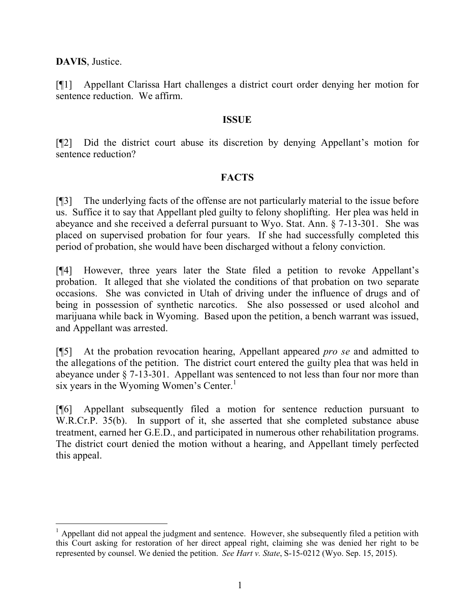**DAVIS**, Justice.

[¶1] Appellant Clarissa Hart challenges a district court order denying her motion for sentence reduction. We affirm.

### **ISSUE**

[¶2] Did the district court abuse its discretion by denying Appellant's motion for sentence reduction?

## **FACTS**

[¶3] The underlying facts of the offense are not particularly material to the issue before us. Suffice it to say that Appellant pled guilty to felony shoplifting. Her plea was held in abeyance and she received a deferral pursuant to Wyo. Stat. Ann. § 7-13-301. She was placed on supervised probation for four years. If she had successfully completed this period of probation, she would have been discharged without a felony conviction.

[¶4] However, three years later the State filed a petition to revoke Appellant's probation. It alleged that she violated the conditions of that probation on two separate occasions. She was convicted in Utah of driving under the influence of drugs and of being in possession of synthetic narcotics. She also possessed or used alcohol and marijuana while back in Wyoming. Based upon the petition, a bench warrant was issued, and Appellant was arrested.

[¶5] At the probation revocation hearing, Appellant appeared *pro se* and admitted to the allegations of the petition. The district court entered the guilty plea that was held in abeyance under § 7-13-301. Appellant was sentenced to not less than four nor more than six years in the Wyoming Women's Center.<sup>1</sup>

[¶6] Appellant subsequently filed a motion for sentence reduction pursuant to W.R.Cr.P. 35(b). In support of it, she asserted that she completed substance abuse treatment, earned her G.E.D., and participated in numerous other rehabilitation programs. The district court denied the motion without a hearing, and Appellant timely perfected this appeal.

<sup>&</sup>lt;sup>1</sup> Appellant did not appeal the judgment and sentence. However, she subsequently filed a petition with this Court asking for restoration of her direct appeal right, claiming she was denied her right to be represented by counsel. We denied the petition. *See Hart v. State*, S-15-0212 (Wyo. Sep. 15, 2015).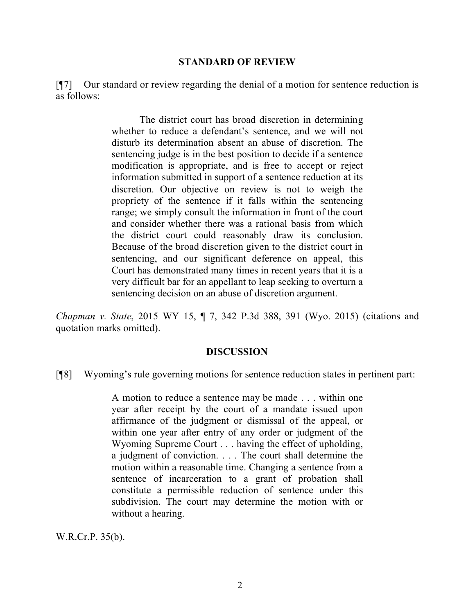#### **STANDARD OF REVIEW**

[¶7] Our standard or review regarding the denial of a motion for sentence reduction is as follows:

> The district court has broad discretion in determining whether to reduce a defendant's sentence, and we will not disturb its determination absent an abuse of discretion. The sentencing judge is in the best position to decide if a sentence modification is appropriate, and is free to accept or reject information submitted in support of a sentence reduction at its discretion. Our objective on review is not to weigh the propriety of the sentence if it falls within the sentencing range; we simply consult the information in front of the court and consider whether there was a rational basis from which the district court could reasonably draw its conclusion. Because of the broad discretion given to the district court in sentencing, and our significant deference on appeal, this Court has demonstrated many times in recent years that it is a very difficult bar for an appellant to leap seeking to overturn a sentencing decision on an abuse of discretion argument.

*Chapman v. State*, 2015 WY 15, ¶ 7, 342 P.3d 388, 391 (Wyo. 2015) (citations and quotation marks omitted).

#### **DISCUSSION**

[¶8] Wyoming's rule governing motions for sentence reduction states in pertinent part:

A motion to reduce a sentence may be made . . . within one year after receipt by the court of a mandate issued upon affirmance of the judgment or dismissal of the appeal, or within one year after entry of any order or judgment of the Wyoming Supreme Court . . . having the effect of upholding, a judgment of conviction. . . . The court shall determine the motion within a reasonable time. Changing a sentence from a sentence of incarceration to a grant of probation shall constitute a permissible reduction of sentence under this subdivision. The court may determine the motion with or without a hearing.

W.R.Cr.P. 35(b).